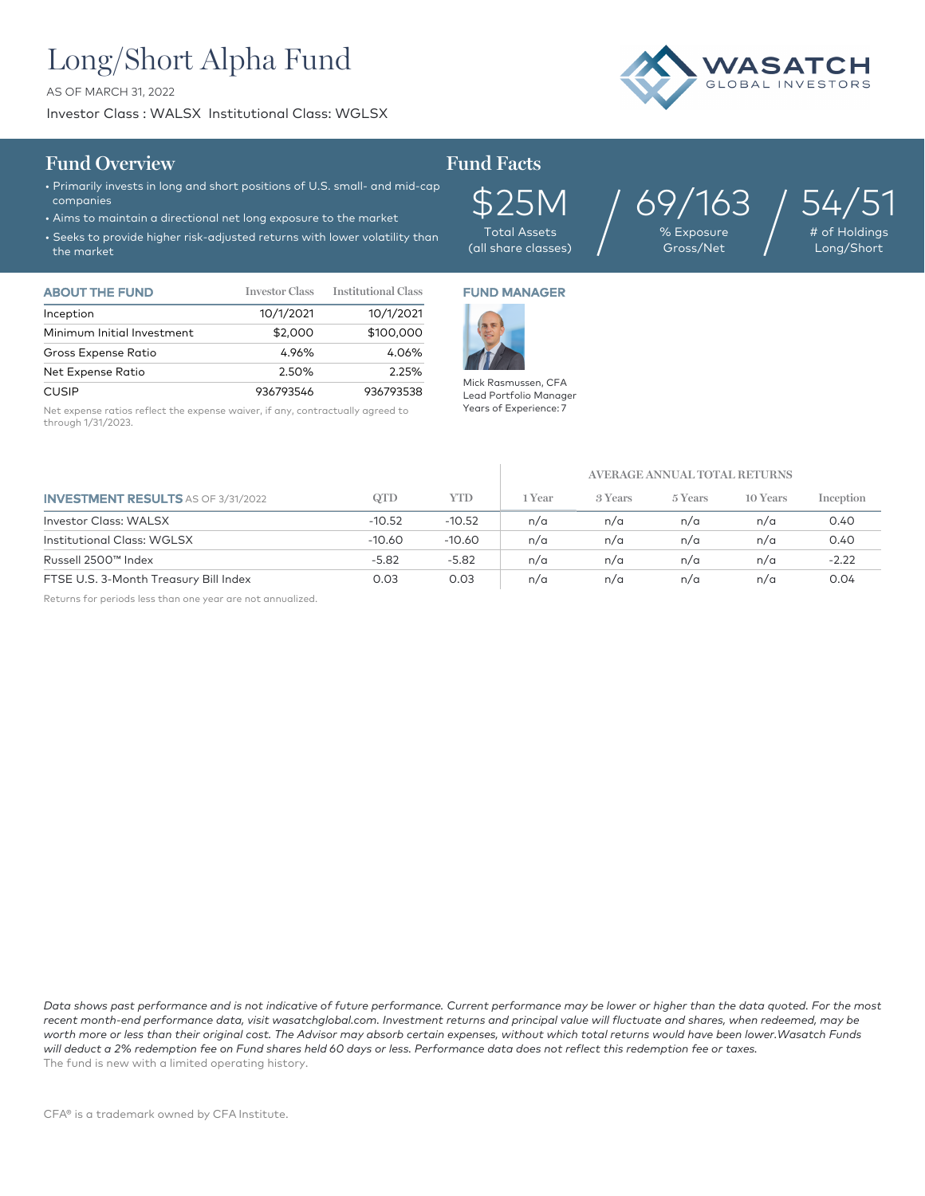# Long/Short Alpha Fund

AS OF MARCH 31, 2022

Investor Class : WALSX Institutional Class: WGLSX



### **Fund Overview Fund Facts**

- Primarily invests in long and short positions of U.S. small- and mid-cap companies
- Aims to maintain a directional net long exposure to the market
- Seeks to provide higher risk-adjusted returns with lower volatility than the market

\$25M Total Assets (all share classes)  $69/163$  / % Exposure<br>| Gross/Net

54,

 $\frac{1}{4}$  of Holding Long/Short

| <b>ABOUT THE FUND</b>      | <b>Investor Class</b> | <b>Institutional Class</b> |
|----------------------------|-----------------------|----------------------------|
| Inception                  | 10/1/2021             | 10/1/2021                  |
| Minimum Initial Investment | \$2,000               | \$100,000                  |
| Gross Expense Ratio        | 4.96%                 | 4.06%                      |
| Net Expense Ratio          | 2.50%                 | 2.25%                      |
| CUSIP                      | 936793546             | 936793538                  |

Net expense ratios reflect the expense waiver, if any, contractually agreed to through 1/31/2023.

## FUND MANAGER



Mick Rasmussen, CFA Lead Portfolio Manager Years of Experience: 7

**AVERAGE ANNUAL TOTAL RETURNS**

| <b>INVESTMENT RESULTS</b> AS OF 3/31/2022 | QTD      | YTD      | l Year | 3 Years | 5 Years | 10 Years | Inception |
|-------------------------------------------|----------|----------|--------|---------|---------|----------|-----------|
| Investor Class: WALSX                     | $-10.52$ | $-10.52$ | n/a    | n/a     | n/a     | n/a      | 0.40      |
| <b>Institutional Class: WGLSX</b>         | $-10.60$ | -10.60   | n/a    | n/a     | n/a     | n/a      | 0.40      |
| Russell 2500™ Index                       | $-5.82$  | $-5.82$  | n/a    | n/a     | n/a     | n/a      | $-2.22$   |
| FTSE U.S. 3-Month Treasury Bill Index     | 0.03     | 0.03     | n/a    | n/a     | n/a     | n/a      | 0.04      |

Returns for periods less than one year are not annualized.

*Data shows past performance and is not indicative of future performance. Current performance may be lower or higher than the data quoted. For the most*  recent month-end performance data, visit wasatchglobal.com. Investment returns and principal value will fluctuate and shares, when redeemed, may be *worth more or less than their original cost. The Advisor may absorb certain expenses, without which total returns would have been lower.Wasatch Funds will deduct a 2% redemption fee on Fund shares held 60 days or less. Performance data does not reflect this redemption fee or taxes.* The fund is new with a limited operating history.